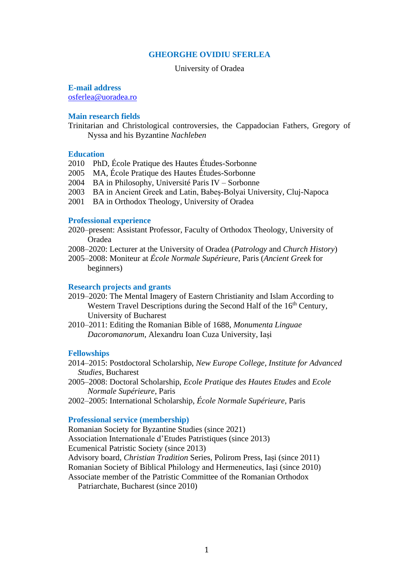# **GHEORGHE OVIDIU SFERLEA**

# University of Oradea

# **E-mail address**

[osferlea@uoradea.ro](mailto:osferlea@uoradea.ro)

# **Main research fields**

Trinitarian and Christological controversies, the Cappadocian Fathers, Gregory of Nyssa and his Byzantine *Nachleben*

# **Education**

- 2010 PhD, École Pratique des Hautes Études-Sorbonne
- 2005 MA, École Pratique des Hautes Études-Sorbonne
- 2004 BA in Philosophy, Université Paris IV Sorbonne
- 2003 BA in Ancient Greek and Latin, Babeș-Bolyai University, Cluj-Napoca
- 2001 BA in Orthodox Theology, University of Oradea

# **Professional experience**

- 2020–present: Assistant Professor, Faculty of Orthodox Theology, University of Oradea
- 2008–2020: Lecturer at the University of Oradea (*Patrology* and *Church History*)
- 2005–2008: Moniteur at *École Normale Supérieure*, Paris (*Ancient Greek* for beginners)

#### **Research projects and grants**

- 2019–2020: The Mental Imagery of Eastern Christianity and Islam According to Western Travel Descriptions during the Second Half of the 16<sup>th</sup> Century, University of Bucharest
- 2010–2011: Editing the Romanian Bible of 1688, *Monumenta Linguae Dacoromanorum*, Alexandru Ioan Cuza University, Iași

#### **Fellowships**

- 2014–2015: Postdoctoral Scholarship, *New Europe College*, *Institute for Advanced Studies*, Bucharest
- 2005–2008: Doctoral Scholarship, *Ecole Pratique des Hautes Etudes* and *Ecole Normale Supérieure*, Paris
- 2002–2005: International Scholarship, *École Normale Supérieure*, Paris

#### **Professional service (membership)**

Romanian Society for Byzantine Studies (since 2021) Association Internationale d'Etudes Patristiques (since 2013) Ecumenical Patristic Society (since 2013) Advisory board, *Christian Tradition* Series, Polirom Press, Iași (since 2011) Romanian Society of Biblical Philology and Hermeneutics, Iași (since 2010) Associate member of the Patristic Committee of the Romanian Orthodox Patriarchate, Bucharest (since 2010)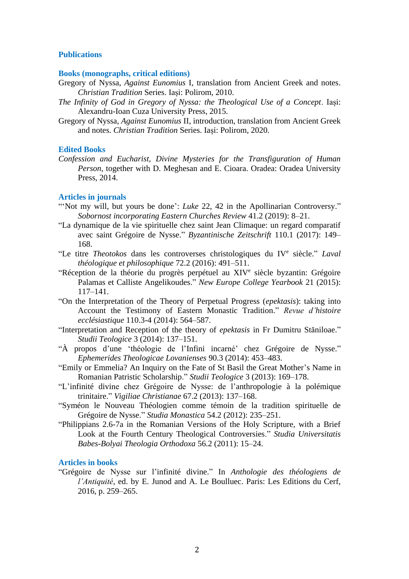# **Publications**

# **Books (monographs, critical editions)**

- Gregory of Nyssa, *Against Eunomius* I, translation from Ancient Greek and notes. *Christian Tradition* Series. Iași: Polirom, 2010.
- *The Infinity of God in Gregory of Nyssa: the Theological Use of a Concept*. Iași: Alexandru-Ioan Cuza University Press, 2015.
- Gregory of Nyssa, *Against Eunomius* II, introduction, translation from Ancient Greek and notes. *Christian Tradition* Series. Iași: Polirom, 2020.

## **Edited Books**

*Confession and Eucharist, Divine Mysteries for the Transfiguration of Human Person*, together with D. Meghesan and E. Cioara. Oradea: Oradea University Press, 2014.

# **Articles in journals**

- "Not my will, but yours be done': *Luke* 22, 42 in the Apollinarian Controversy." *Sobornost incorporating Eastern Churches Review* 41.2 (2019): 8–21.
- "La dynamique de la vie spirituelle chez saint Jean Climaque: un regard comparatif avec saint Grégoire de Nysse." *Byzantinische Zeitschrift* 110.1 (2017): 149– 168.
- "Le titre *Theotokos* dans les controverses christologiques du IV<sup>e</sup> siècle." *Laval théologique et philosophique* 72.2 (2016): 491–511.
- "Réception de la théorie du progrès perpétuel au XIV<sup>e</sup> siècle byzantin: Grégoire Palamas et Calliste Angelikoudes." *New Europe College Yearbook* 21 (2015): 117–141.
- "On the Interpretation of the Theory of Perpetual Progress (*epektasis*): taking into Account the Testimony of Eastern Monastic Tradition." *Revue d'histoire ecclésiastique* 110.3-4 (2014): 564–587.
- "Interpretation and Reception of the theory of *epektasis* in Fr Dumitru Stăniloae." *Studii Teologice* 3 (2014): 137–151.
- "À propos d'une 'théologie de l'Infini incarné' chez Grégoire de Nysse." *Ephemerides Theologicae Lovanienses* 90.3 (2014): 453–483.
- "Emily or Emmelia? An Inquiry on the Fate of St Basil the Great Mother's Name in Romanian Patristic Scholarship." *Studii Teologice* 3 (2013): 169–178.
- "L'infinité divine chez Grégoire de Nysse: de l'anthropologie à la polémique trinitaire." *Vigiliae Christianae* 67.2 (2013): 137–168.
- "Syméon le Nouveau Théologien comme témoin de la tradition spirituelle de Grégoire de Nysse." *Studia Monastica* 54.2 (2012): 235–251.
- "Philippians 2.6-7a in the Romanian Versions of the Holy Scripture, with a Brief Look at the Fourth Century Theological Controversies." *Studia Universitatis Babes-Bolyai Theologia Orthodoxa* 56.2 (2011): 15–24.

# **Articles in books**

"Grégoire de Nysse sur l'infinité divine." In *Anthologie des théologiens de l'Antiquité*, ed. by E. Junod and A. Le Boulluec. Paris: Les Editions du Cerf, 2016, p. 259–265.